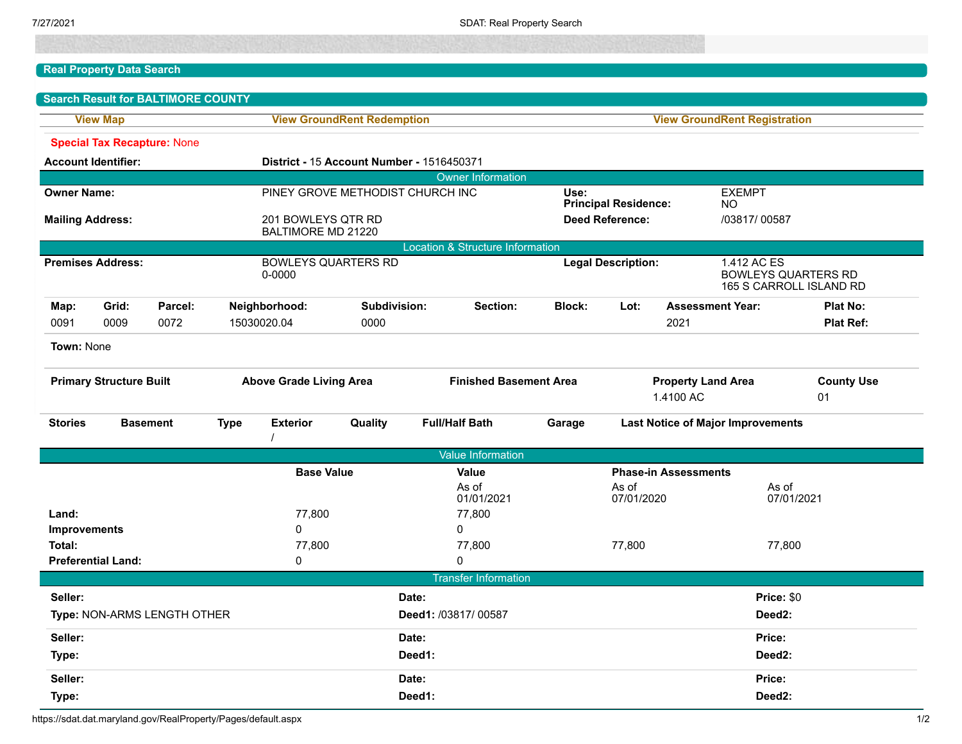## **Real Property Data Search**

|                                |                            | <b>Search Result for BALTIMORE COUNTY</b> |                                      |                                  |                                                  |                                                                              |                                     |                                          |                         |                                                                      |                  |
|--------------------------------|----------------------------|-------------------------------------------|--------------------------------------|----------------------------------|--------------------------------------------------|------------------------------------------------------------------------------|-------------------------------------|------------------------------------------|-------------------------|----------------------------------------------------------------------|------------------|
| <b>View Map</b>                |                            |                                           | <b>View GroundRent Redemption</b>    |                                  |                                                  |                                                                              | <b>View GroundRent Registration</b> |                                          |                         |                                                                      |                  |
|                                |                            | <b>Special Tax Recapture: None</b>        |                                      |                                  |                                                  |                                                                              |                                     |                                          |                         |                                                                      |                  |
|                                | <b>Account Identifier:</b> |                                           |                                      |                                  | <b>District - 15 Account Number - 1516450371</b> |                                                                              |                                     |                                          |                         |                                                                      |                  |
| <b>Owner Information</b>       |                            |                                           |                                      |                                  |                                                  |                                                                              |                                     |                                          |                         |                                                                      |                  |
| <b>Owner Name:</b>             |                            |                                           |                                      | PINEY GROVE METHODIST CHURCH INC |                                                  |                                                                              |                                     | Use:<br><b>EXEMPT</b>                    |                         |                                                                      |                  |
|                                | <b>Mailing Address:</b>    |                                           | 201 BOWLEYS QTR RD                   |                                  |                                                  | <b>Principal Residence:</b><br>NO.<br><b>Deed Reference:</b><br>/03817/00587 |                                     |                                          |                         |                                                                      |                  |
|                                |                            |                                           | BALTIMORE MD 21220                   |                                  |                                                  |                                                                              |                                     |                                          |                         |                                                                      |                  |
|                                |                            |                                           |                                      |                                  |                                                  | <b>Location &amp; Structure Information</b>                                  |                                     |                                          |                         |                                                                      |                  |
| <b>Premises Address:</b>       |                            |                                           | <b>BOWLEYS QUARTERS RD</b><br>0-0000 |                                  |                                                  |                                                                              | <b>Legal Description:</b>           |                                          |                         | 1.412 AC ES<br><b>BOWLEYS QUARTERS RD</b><br>165 S CARROLL ISLAND RD |                  |
| Map:                           | Grid:                      | Parcel:                                   |                                      | Neighborhood:                    | Subdivision:                                     | Section:                                                                     | <b>Block:</b>                       | Lot:                                     | <b>Assessment Year:</b> |                                                                      | <b>Plat No:</b>  |
| 0091                           | 0009                       | 0072                                      |                                      | 15030020.04                      | 0000                                             |                                                                              |                                     |                                          | 2021                    |                                                                      | <b>Plat Ref:</b> |
| Town: None                     |                            |                                           |                                      |                                  |                                                  |                                                                              |                                     |                                          |                         |                                                                      |                  |
| <b>Primary Structure Built</b> |                            | <b>Above Grade Living Area</b>            |                                      | <b>Finished Basement Area</b>    |                                                  | <b>Property Land Area</b><br>1.4100 AC                                       |                                     |                                          | <b>County Use</b><br>01 |                                                                      |                  |
| <b>Stories</b>                 |                            | <b>Basement</b>                           | <b>Type</b>                          | <b>Exterior</b>                  | Quality                                          | <b>Full/Half Bath</b>                                                        | Garage                              | <b>Last Notice of Major Improvements</b> |                         |                                                                      |                  |
|                                |                            |                                           |                                      |                                  |                                                  | <b>Value Information</b>                                                     |                                     |                                          |                         |                                                                      |                  |
|                                |                            |                                           | <b>Base Value</b>                    |                                  |                                                  | Value                                                                        | <b>Phase-in Assessments</b>         |                                          |                         |                                                                      |                  |
|                                |                            |                                           |                                      |                                  |                                                  | As of<br>01/01/2021                                                          |                                     | As of<br>07/01/2020                      |                         | As of                                                                | 07/01/2021       |
| Land:                          |                            |                                           | 77,800                               |                                  |                                                  | 77,800                                                                       |                                     |                                          |                         |                                                                      |                  |
| Improvements                   |                            |                                           | 0                                    |                                  |                                                  | $\mathbf{0}$                                                                 |                                     |                                          |                         |                                                                      |                  |
| Total:                         |                            |                                           | 77,800                               |                                  |                                                  | 77,800                                                                       | 77,800                              |                                          |                         | 77,800                                                               |                  |
|                                | <b>Preferential Land:</b>  |                                           |                                      | 0                                |                                                  | $\mathbf{0}$                                                                 |                                     |                                          |                         |                                                                      |                  |
|                                |                            |                                           |                                      |                                  |                                                  | <b>Transfer Information</b>                                                  |                                     |                                          |                         |                                                                      |                  |
| Seller:                        |                            |                                           | Date:                                |                                  |                                                  |                                                                              | Price: \$0                          |                                          |                         |                                                                      |                  |
| Type: NON-ARMS LENGTH OTHER    |                            |                                           |                                      | Deed1: /03817/00587              |                                                  |                                                                              |                                     | Deed <sub>2</sub> :                      |                         |                                                                      |                  |
| Seller:                        |                            |                                           |                                      | Date:                            |                                                  |                                                                              |                                     | Price:                                   |                         |                                                                      |                  |
| Type:                          |                            |                                           |                                      | Deed1:                           |                                                  |                                                                              | Deed <sub>2</sub> :                 |                                          |                         |                                                                      |                  |
| Seller:                        |                            |                                           |                                      | Date:                            |                                                  |                                                                              |                                     | Price:                                   |                         |                                                                      |                  |
| Type:                          |                            |                                           |                                      | Deed1:                           |                                                  |                                                                              |                                     | Deed <sub>2</sub> :                      |                         |                                                                      |                  |

https://sdat.dat.maryland.gov/RealProperty/Pages/default.aspx 1/2